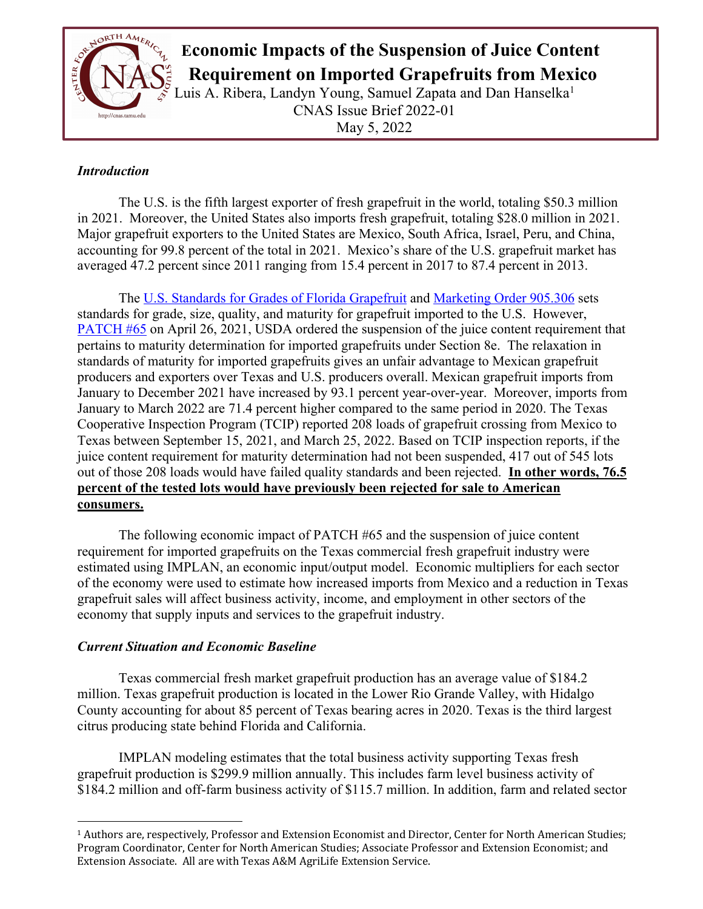

# **Example 2008 THE AMERICAL ECONOMIC Impacts of the Suspension of Juice Content**

 **Requirement on Imported Grapefruits from Mexico**

Luis A. Ribera, Landyn Young, Samuel Zapata and Dan Hanselka<sup>1</sup> CNAS Issue Brief 2022-01 May 5, 2022

# *Introduction*

The U.S. is the fifth largest exporter of fresh grapefruit in the world, totaling \$50.3 million in 2021. Moreover, the United States also imports fresh grapefruit, totaling \$28.0 million in 2021. Major grapefruit exporters to the United States are Mexico, South Africa, Israel, Peru, and China, accounting for 99.8 percent of the total in 2021. Mexico's share of the U.S. grapefruit market has averaged 47.2 percent since 2011 ranging from 15.4 percent in 2017 to 87.4 percent in 2013.

The U.S. Standards for Grades of Florida Grapefruit and Marketing Order 905.306 sets standards for grade, size, quality, and maturity for grapefruit imported to the U.S. However, PATCH #65 on April 26, 2021, USDA ordered the suspension of the juice content requirement that pertains to maturity determination for imported grapefruits under Section 8e. The relaxation in standards of maturity for imported grapefruits gives an unfair advantage to Mexican grapefruit producers and exporters over Texas and U.S. producers overall. Mexican grapefruit imports from January to December 2021 have increased by 93.1 percent year-over-year. Moreover, imports from January to March 2022 are 71.4 percent higher compared to the same period in 2020. The Texas Cooperative Inspection Program (TCIP) reported 208 loads of grapefruit crossing from Mexico to Texas between September 15, 2021, and March 25, 2022. Based on TCIP inspection reports, if the juice content requirement for maturity determination had not been suspended, 417 out of 545 lots out of those 208 loads would have failed quality standards and been rejected. **In other words, 76.5 percent of the tested lots would have previously been rejected for sale to American consumers.**

The following economic impact of PATCH #65 and the suspension of juice content requirement for imported grapefruits on the Texas commercial fresh grapefruit industry were estimated using IMPLAN, an economic input/output model. Economic multipliers for each sector of the economy were used to estimate how increased imports from Mexico and a reduction in Texas grapefruit sales will affect business activity, income, and employment in other sectors of the economy that supply inputs and services to the grapefruit industry.

# *Current Situation and Economic Baseline*

Texas commercial fresh market grapefruit production has an average value of \$184.2 million. Texas grapefruit production is located in the Lower Rio Grande Valley, with Hidalgo County accounting for about 85 percent of Texas bearing acres in 2020. Texas is the third largest citrus producing state behind Florida and California.

IMPLAN modeling estimates that the total business activity supporting Texas fresh grapefruit production is \$299.9 million annually. This includes farm level business activity of \$184.2 million and off-farm business activity of \$115.7 million. In addition, farm and related sector

<sup>&</sup>lt;sup>1</sup> Authors are, respectively, Professor and Extension Economist and Director, Center for North American Studies; Program Coordinator, Center for North American Studies; Associate Professor and Extension Economist; and Extension Associate. All are with Texas A&M AgriLife Extension Service.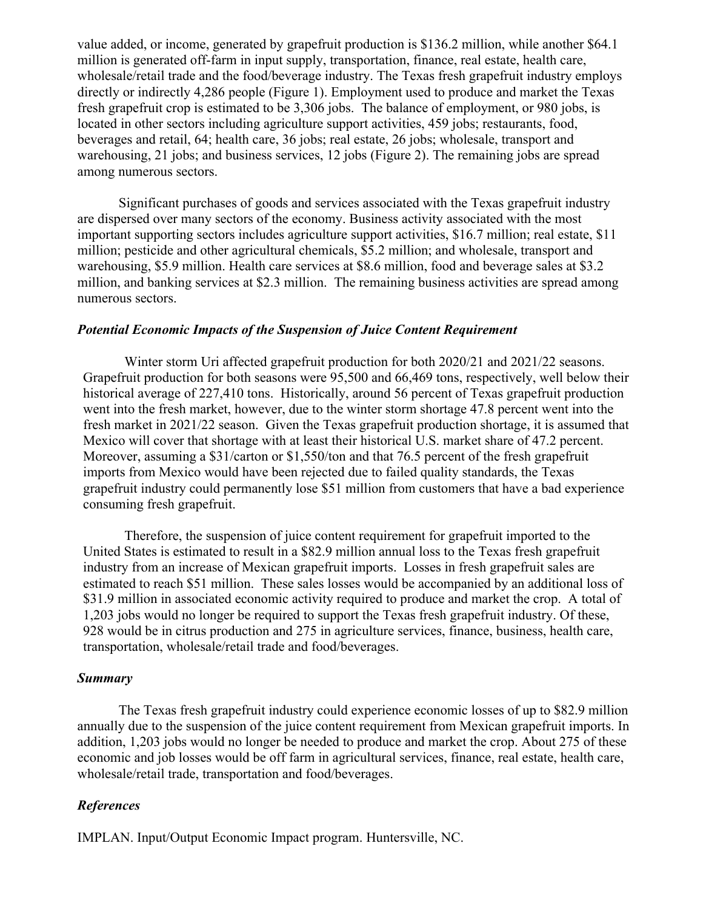value added, or income, generated by grapefruit production is \$136.2 million, while another \$64.1 million is generated off-farm in input supply, transportation, finance, real estate, health care, wholesale/retail trade and the food/beverage industry. The Texas fresh grapefruit industry employs directly or indirectly 4,286 people (Figure 1). Employment used to produce and market the Texas fresh grapefruit crop is estimated to be 3,306 jobs. The balance of employment, or 980 jobs, is located in other sectors including agriculture support activities, 459 jobs; restaurants, food, beverages and retail, 64; health care, 36 jobs; real estate, 26 jobs; wholesale, transport and warehousing, 21 jobs; and business services, 12 jobs (Figure 2). The remaining jobs are spread among numerous sectors.

Significant purchases of goods and services associated with the Texas grapefruit industry are dispersed over many sectors of the economy. Business activity associated with the most important supporting sectors includes agriculture support activities, \$16.7 million; real estate, \$11 million; pesticide and other agricultural chemicals, \$5.2 million; and wholesale, transport and warehousing, \$5.9 million. Health care services at \$8.6 million, food and beverage sales at \$3.2 million, and banking services at \$2.3 million. The remaining business activities are spread among numerous sectors.

### *Potential Economic Impacts of the Suspension of Juice Content Requirement*

Winter storm Uri affected grapefruit production for both 2020/21 and 2021/22 seasons. Grapefruit production for both seasons were 95,500 and 66,469 tons, respectively, well below their historical average of 227,410 tons. Historically, around 56 percent of Texas grapefruit production went into the fresh market, however, due to the winter storm shortage 47.8 percent went into the fresh market in 2021/22 season. Given the Texas grapefruit production shortage, it is assumed that Mexico will cover that shortage with at least their historical U.S. market share of 47.2 percent. Moreover, assuming a \$31/carton or \$1,550/ton and that 76.5 percent of the fresh grapefruit imports from Mexico would have been rejected due to failed quality standards, the Texas grapefruit industry could permanently lose \$51 million from customers that have a bad experience consuming fresh grapefruit.

Therefore, the suspension of juice content requirement for grapefruit imported to the United States is estimated to result in a \$82.9 million annual loss to the Texas fresh grapefruit industry from an increase of Mexican grapefruit imports. Losses in fresh grapefruit sales are estimated to reach \$51 million. These sales losses would be accompanied by an additional loss of \$31.9 million in associated economic activity required to produce and market the crop. A total of 1,203 jobs would no longer be required to support the Texas fresh grapefruit industry. Of these, 928 would be in citrus production and 275 in agriculture services, finance, business, health care, transportation, wholesale/retail trade and food/beverages.

#### *Summary*

The Texas fresh grapefruit industry could experience economic losses of up to \$82.9 million annually due to the suspension of the juice content requirement from Mexican grapefruit imports. In addition, 1,203 jobs would no longer be needed to produce and market the crop. About 275 of these economic and job losses would be off farm in agricultural services, finance, real estate, health care, wholesale/retail trade, transportation and food/beverages.

## *References*

IMPLAN. Input/Output Economic Impact program. Huntersville, NC.